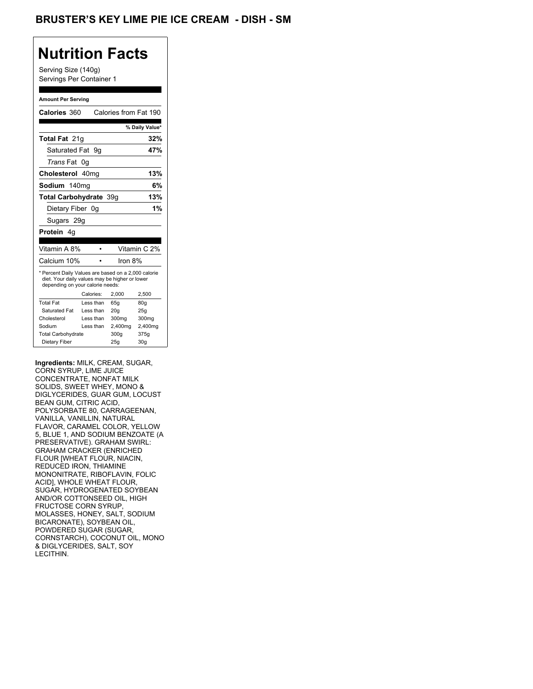## **Nutrition Facts**

Serving Size (140g) Servings Per Container 1

#### **Amount Per Serving**

| Calories 360                                                                                                                              |           | Calories from Fat 190 |                |
|-------------------------------------------------------------------------------------------------------------------------------------------|-----------|-----------------------|----------------|
|                                                                                                                                           |           |                       | % Daily Value* |
| <b>Total Fat 21g</b>                                                                                                                      |           |                       | 32%            |
| Saturated Fat 9q                                                                                                                          |           |                       | 47%            |
| Trans Fat 0g                                                                                                                              |           |                       |                |
| Cholesterol 40mg                                                                                                                          |           |                       | 13%            |
| Sodium 140mg                                                                                                                              |           |                       | 6%             |
| Total Carbohydrate 39q                                                                                                                    |           |                       | 13%            |
| Dietary Fiber 0q                                                                                                                          |           |                       | 1%             |
| Sugars 29g                                                                                                                                |           |                       |                |
|                                                                                                                                           |           |                       |                |
| <b>Protein</b> 4a                                                                                                                         |           |                       |                |
|                                                                                                                                           |           |                       |                |
| Vitamin A 8%                                                                                                                              |           |                       | Vitamin C 2%   |
| Calcium 10%                                                                                                                               |           | Iron $8\%$            |                |
| * Percent Daily Values are based on a 2,000 calorie<br>diet. Your daily values may be higher or lower<br>depending on your calorie needs: |           |                       |                |
|                                                                                                                                           | Calories: | 2.000                 | 2,500          |
| <b>Total Fat</b>                                                                                                                          | Less than | 65q                   | 80q            |
| Saturated Fat                                                                                                                             | Less than | 20 <sub>g</sub>       | 25g            |
| Cholesterol                                                                                                                               | Less than | 300mg                 | 300mg          |
| Sodium                                                                                                                                    | Less than | 2,400mg               | 2,400mg        |
| <b>Total Carbohydrate</b>                                                                                                                 |           | 300g                  | 375g           |

**Ingredients:** MILK, CREAM, SUGAR, CORN SYRUP, LIME JUICE CONCENTRATE, NONFAT MILK SOLIDS, SWEET WHEY, MONO & DIGLYCERIDES, GUAR GUM, LOCUST BEAN GUM, CITRIC ACID, POLYSORBATE 80, CARRAGEENAN, VANILLA, VANILLIN, NATURAL FLAVOR, CARAMEL COLOR, YELLOW 5, BLUE 1, AND SODIUM BENZOATE (A PRESERVATIVE). GRAHAM SWIRL: GRAHAM CRACKER (ENRICHED FLOUR [WHEAT FLOUR, NIACIN, REDUCED IRON, THIAMINE MONONITRATE, RIBOFLAVIN, FOLIC ACID], WHOLE WHEAT FLOUR, SUGAR, HYDROGENATED SOYBEAN AND/OR COTTONSEED OIL, HIGH FRUCTOSE CORN SYRUP, MOLASSES, HONEY, SALT, SODIUM BICARONATE), SOYBEAN OIL, POWDERED SUGAR (SUGAR, CORNSTARCH), COCONUT OIL, MONO & DIGLYCERIDES, SALT, SOY LECITHIN.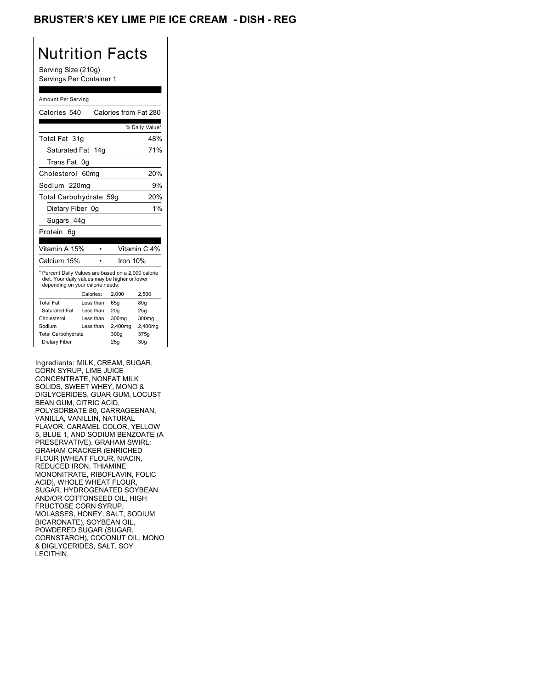## BRUSTER'S KEY LIME PIE ICE CREAM - DISH - REG

# Nutrition Facts

Serving Size (210g) Servings Per Container 1

#### Amount Per Serving

| Calories 540                                                                                                                              |                  | Calories from Fat 280 |                |
|-------------------------------------------------------------------------------------------------------------------------------------------|------------------|-----------------------|----------------|
|                                                                                                                                           |                  |                       | % Daily Value* |
| Total Fat 31q                                                                                                                             |                  |                       | 48%            |
| Saturated Fat 14g                                                                                                                         |                  |                       | 71%            |
| Trans Fat                                                                                                                                 | 0g               |                       |                |
| Cholesterol                                                                                                                               | 60 <sub>mg</sub> |                       | 20%            |
| Sodium 220mg                                                                                                                              |                  |                       | 9%             |
| Total Carbohydrate 59g                                                                                                                    |                  |                       | 20%            |
| Dietary Fiber 0g                                                                                                                          |                  |                       | 1%             |
| Sugars 44g                                                                                                                                |                  |                       |                |
| Protein<br>6g                                                                                                                             |                  |                       |                |
|                                                                                                                                           |                  |                       |                |
| Vitamin A 15%                                                                                                                             |                  |                       | Vitamin C 4%   |
| Calcium 15%                                                                                                                               |                  | Iron 10%              |                |
| * Percent Daily Values are based on a 2,000 calorie<br>diet. Your daily values may be higher or lower<br>depending on your calorie needs: |                  |                       |                |
|                                                                                                                                           |                  |                       |                |
|                                                                                                                                           | Calories:        | 2,000                 | 2,500          |
| <b>Total Fat</b>                                                                                                                          | Less than        | 65g                   | 80g            |
| Saturated Fat                                                                                                                             | Less than        | 20q                   | 25g            |
| Cholesterol                                                                                                                               | Less than        | 300mg                 | 300mg          |
| Sodium                                                                                                                                    | Less than        | 2,400mg               | 2,400mg        |
| <b>Total Carbohydrate</b>                                                                                                                 |                  | 300q                  | 375g           |

Ingredients: MILK, CREAM, SUGAR, CORN SYRUP, LIME JUICE CONCENTRATE, NONFAT MILK SOLIDS, SWEET WHEY, MONO & DIGLYCERIDES, GUAR GUM, LOCUST BEAN GUM, CITRIC ACID, POLYSORBATE 80, CARRAGEENAN, VANILLA, VANILLIN, NATURAL FLAVOR, CARAMEL COLOR, YELLOW 5, BLUE 1, AND SODIUM BENZOATE (A PRESERVATIVE). GRAHAM SWIRL: GRAHAM CRACKER (ENRICHED FLOUR [WHEAT FLOUR, NIACIN, REDUCED IRON, THIAMINE MONONITRATE, RIBOFLAVIN, FOLIC ACID], WHOLE WHEAT FLOUR, SUGAR, HYDROGENATED SOYBEAN AND/OR COTTONSEED OIL, HIGH FRUCTOSE CORN SYRUP, MOLASSES, HONEY, SALT, SODIUM BICARONATE), SOYBEAN OIL, POWDERED SUGAR (SUGAR, CORNSTARCH), COCONUT OIL, MONO & DIGLYCERIDES, SALT, SOY LECITHIN.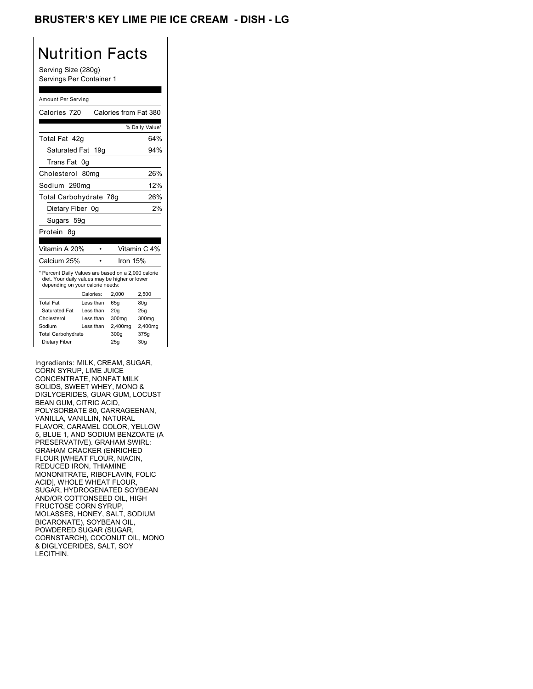## BRUSTER'S KEY LIME PIE ICE CREAM - DISH - LG

# Nutrition Facts

Serving Size (280g) Servings Per Container 1

#### Amount Per Serving

| Calories 720                                                                                                                              |                  | Calories from Fat 380 |                 |
|-------------------------------------------------------------------------------------------------------------------------------------------|------------------|-----------------------|-----------------|
|                                                                                                                                           |                  |                       | % Daily Value*  |
| Total Fat 42q                                                                                                                             |                  |                       | 64%             |
| Saturated Fat 19g                                                                                                                         |                  |                       | 94%             |
| Trans Fat                                                                                                                                 | 0g               |                       |                 |
| Cholesterol                                                                                                                               | 80 <sub>mq</sub> |                       | 26%             |
| Sodium 290mg                                                                                                                              |                  |                       | 12%             |
| Total Carbohydrate 78g                                                                                                                    |                  |                       | 26%             |
| Dietary Fiber 0g                                                                                                                          |                  |                       | 2%              |
| Sugars 59g                                                                                                                                |                  |                       |                 |
| Protein<br>8g                                                                                                                             |                  |                       |                 |
|                                                                                                                                           |                  |                       |                 |
| Vitamin A 20%                                                                                                                             |                  |                       | Vitamin C 4%    |
| Calcium 25%                                                                                                                               |                  | Iron 15%              |                 |
| * Percent Daily Values are based on a 2,000 calorie<br>diet. Your daily values may be higher or lower<br>depending on your calorie needs: |                  |                       |                 |
|                                                                                                                                           | Calories:        | 2,000                 | 2,500           |
| <b>Total Fat</b>                                                                                                                          | Less than        | 65q                   | 80g             |
| Saturated Fat                                                                                                                             | Less than        | 20 <sub>g</sub>       | 25g             |
| Cholesterol                                                                                                                               | Less than        | 300mg                 | 300mg           |
| Sodium                                                                                                                                    | Less than        | 2,400mg               | 2,400mg         |
| <b>Total Carbohydrate</b>                                                                                                                 |                  | 300q                  | 375g            |
| Dietary Fiber                                                                                                                             |                  | 25g                   | 30 <sub>g</sub> |

Ingredients: MILK, CREAM, SUGAR, CORN SYRUP, LIME JUICE CONCENTRATE, NONFAT MILK SOLIDS, SWEET WHEY, MONO & DIGLYCERIDES, GUAR GUM, LOCUST BEAN GUM, CITRIC ACID, POLYSORBATE 80, CARRAGEENAN, VANILLA, VANILLIN, NATURAL FLAVOR, CARAMEL COLOR, YELLOW 5, BLUE 1, AND SODIUM BENZOATE (A PRESERVATIVE). GRAHAM SWIRL: GRAHAM CRACKER (ENRICHED FLOUR [WHEAT FLOUR, NIACIN, REDUCED IRON, THIAMINE MONONITRATE, RIBOFLAVIN, FOLIC ACID], WHOLE WHEAT FLOUR, SUGAR, HYDROGENATED SOYBEAN AND/OR COTTONSEED OIL, HIGH FRUCTOSE CORN SYRUP, MOLASSES, HONEY, SALT, SODIUM BICARONATE), SOYBEAN OIL, POWDERED SUGAR (SUGAR, CORNSTARCH), COCONUT OIL, MONO & DIGLYCERIDES, SALT, SOY LECITHIN.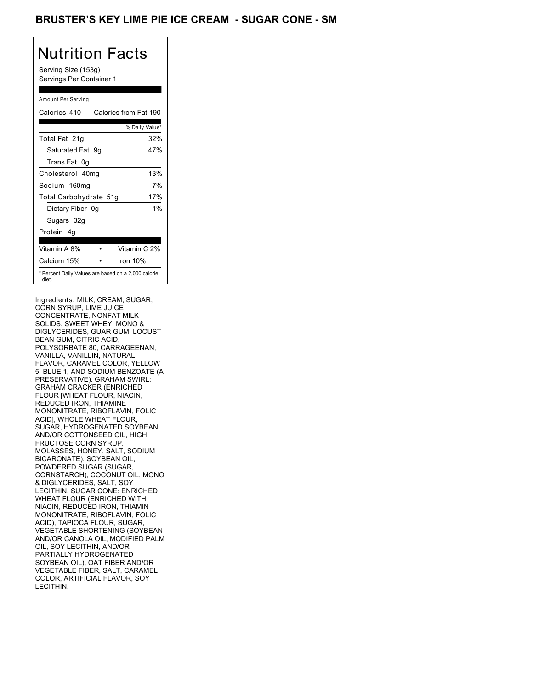## BRUSTER'S KEY LIME PIE ICE CREAM - SUGAR CONE - SM

# Nutrition Facts

Serving Size (153g) Servings Per Container 1

#### Amount Per Serving

| Calories 410           | Calories from Fat 190                               |       |
|------------------------|-----------------------------------------------------|-------|
|                        | % Daily Value*                                      |       |
| Total Fat 21g          |                                                     | 32%   |
| Saturated Fat 9q       |                                                     | 47%   |
| Trans Fat 0q           |                                                     |       |
| Cholesterol 40mg       |                                                     | 13%   |
| Sodium 160mg           |                                                     | 7%    |
| Total Carbohydrate 51g |                                                     | 17%   |
| Dietary Fiber 0g       |                                                     | $1\%$ |
| Sugars 32g             |                                                     |       |
| Protein 4q             |                                                     |       |
| Vitamin A 8%           | Vitamin C 2%                                        |       |
| Calcium 15%            | Iron $10%$                                          |       |
| diet.                  | * Percent Daily Values are based on a 2,000 calorie |       |

Ingredients: MILK, CREAM, SUGAR, CORN SYRUP, LIME JUICE CONCENTRATE, NONFAT MILK SOLIDS, SWEET WHEY, MONO & DIGLYCERIDES, GUAR GUM, LOCUST BEAN GUM, CITRIC ACID, POLYSORBATE 80, CARRAGEENAN, VANILLA, VANILLIN, NATURAL FLAVOR, CARAMEL COLOR, YELLOW 5, BLUE 1, AND SODIUM BENZOATE (A PRESERVATIVE). GRAHAM SWIRL: GRAHAM CRACKER (ENRICHED FLOUR [WHEAT FLOUR, NIACIN, REDUCED IRON, THIAMINE MONONITRATE, RIBOFLAVIN, FOLIC ACID], WHOLE WHEAT FLOUR, SUGAR, HYDROGENATED SOYBEAN AND/OR COTTONSEED OIL, HIGH FRUCTOSE CORN SYRUP, MOLASSES, HONEY, SALT, SODIUM BICARONATE), SOYBEAN OIL, POWDERED SUGAR (SUGAR, CORNSTARCH), COCONUT OIL, MONO & DIGLYCERIDES, SALT, SOY LECITHIN. SUGAR CONE: ENRICHED WHEAT FLOUR (ENRICHED WITH NIACIN, REDUCED IRON, THIAMIN MONONITRATE, RIBOFLAVIN, FOLIC ACID), TAPIOCA FLOUR, SUGAR, VEGETABLE SHORTENING (SOYBEAN AND/OR CANOLA OIL, MODIFIED PALM OIL, SOY LECITHIN, AND/OR PARTIALLY HYDROGENATED SOYBEAN OIL), OAT FIBER AND/OR VEGETABLE FIBER, SALT, CARAMEL COLOR, ARTIFICIAL FLAVOR, SOY LECITHIN.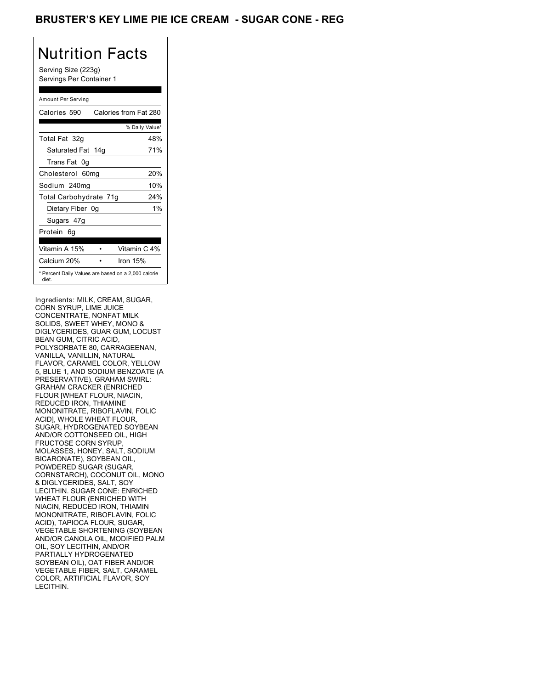## BRUSTER'S KEY LIME PIE ICE CREAM - SUGAR CONE - REG

# Nutrition Facts

Serving Size (223g) Servings Per Container 1

#### Amount Per Serving

| Calories 590           | Calories from Fat 280                               |
|------------------------|-----------------------------------------------------|
|                        | % Daily Value*                                      |
| Total Fat 32g          | 48%                                                 |
| Saturated Fat 14g      | 71%                                                 |
| Trans Fat 0q           |                                                     |
| Cholesterol 60mg       | 20%                                                 |
| Sodium 240mg           | 10%                                                 |
| Total Carbohydrate 71g | 24%                                                 |
| Dietary Fiber 0g       | $1\%$                                               |
| Sugars 47g             |                                                     |
| Protein 6q             |                                                     |
| Vitamin A 15%          | Vitamin C 4%                                        |
| Calcium 20%            | Iron $15%$                                          |
| diet.                  | * Percent Daily Values are based on a 2,000 calorie |

Ingredients: MILK, CREAM, SUGAR, CORN SYRUP, LIME JUICE CONCENTRATE, NONFAT MILK SOLIDS, SWEET WHEY, MONO & DIGLYCERIDES, GUAR GUM, LOCUST BEAN GUM, CITRIC ACID, POLYSORBATE 80, CARRAGEENAN, VANILLA, VANILLIN, NATURAL FLAVOR, CARAMEL COLOR, YELLOW 5, BLUE 1, AND SODIUM BENZOATE (A PRESERVATIVE). GRAHAM SWIRL: GRAHAM CRACKER (ENRICHED FLOUR [WHEAT FLOUR, NIACIN, REDUCED IRON, THIAMINE MONONITRATE, RIBOFLAVIN, FOLIC ACID], WHOLE WHEAT FLOUR, SUGAR, HYDROGENATED SOYBEAN AND/OR COTTONSEED OIL, HIGH FRUCTOSE CORN SYRUP, MOLASSES, HONEY, SALT, SODIUM BICARONATE), SOYBEAN OIL, POWDERED SUGAR (SUGAR, CORNSTARCH), COCONUT OIL, MONO & DIGLYCERIDES, SALT, SOY LECITHIN. SUGAR CONE: ENRICHED WHEAT FLOUR (ENRICHED WITH NIACIN, REDUCED IRON, THIAMIN MONONITRATE, RIBOFLAVIN, FOLIC ACID), TAPIOCA FLOUR, SUGAR, VEGETABLE SHORTENING (SOYBEAN AND/OR CANOLA OIL, MODIFIED PALM OIL, SOY LECITHIN, AND/OR PARTIALLY HYDROGENATED SOYBEAN OIL), OAT FIBER AND/OR VEGETABLE FIBER, SALT, CARAMEL COLOR, ARTIFICIAL FLAVOR, SOY LECITHIN.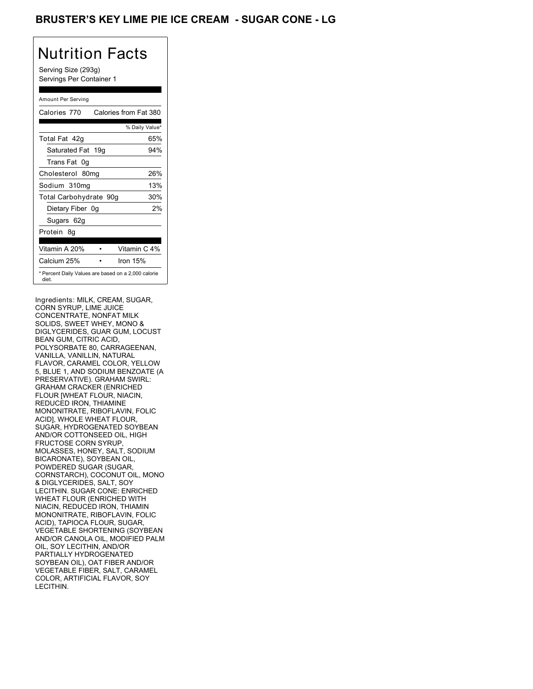## BRUSTER'S KEY LIME PIE ICE CREAM - SUGAR CONE - LG

# Nutrition Facts

Serving Size (293g) Servings Per Container 1

#### Amount Per Serving

| Calories 770           | Calories from Fat 380                               |
|------------------------|-----------------------------------------------------|
|                        | % Daily Value*                                      |
| Total Fat 42q          | 65%                                                 |
| Saturated Fat 19g      | 94%                                                 |
| Trans Fat 0q           |                                                     |
| Cholesterol 80mg       | 26%                                                 |
| Sodium 310mg           | 13%                                                 |
| Total Carbohydrate 90g | 30%                                                 |
| Dietary Fiber 0g       | 2%                                                  |
| Sugars 62g             |                                                     |
| Protein 8q             |                                                     |
| Vitamin A 20%          | Vitamin C 4%                                        |
| Calcium 25%            | Iron 15%                                            |
| diet.                  | * Percent Daily Values are based on a 2,000 calorie |

Ingredients: MILK, CREAM, SUGAR, CORN SYRUP, LIME JUICE CONCENTRATE, NONFAT MILK SOLIDS, SWEET WHEY, MONO & DIGLYCERIDES, GUAR GUM, LOCUST BEAN GUM, CITRIC ACID, POLYSORBATE 80, CARRAGEENAN, VANILLA, VANILLIN, NATURAL FLAVOR, CARAMEL COLOR, YELLOW 5, BLUE 1, AND SODIUM BENZOATE (A PRESERVATIVE). GRAHAM SWIRL: GRAHAM CRACKER (ENRICHED FLOUR [WHEAT FLOUR, NIACIN, REDUCED IRON, THIAMINE MONONITRATE, RIBOFLAVIN, FOLIC ACID], WHOLE WHEAT FLOUR, SUGAR, HYDROGENATED SOYBEAN AND/OR COTTONSEED OIL, HIGH FRUCTOSE CORN SYRUP, MOLASSES, HONEY, SALT, SODIUM BICARONATE), SOYBEAN OIL, POWDERED SUGAR (SUGAR, CORNSTARCH), COCONUT OIL, MONO & DIGLYCERIDES, SALT, SOY LECITHIN. SUGAR CONE: ENRICHED WHEAT FLOUR (ENRICHED WITH NIACIN, REDUCED IRON, THIAMIN MONONITRATE, RIBOFLAVIN, FOLIC ACID), TAPIOCA FLOUR, SUGAR, VEGETABLE SHORTENING (SOYBEAN AND/OR CANOLA OIL, MODIFIED PALM OIL, SOY LECITHIN, AND/OR PARTIALLY HYDROGENATED SOYBEAN OIL), OAT FIBER AND/OR VEGETABLE FIBER, SALT, CARAMEL COLOR, ARTIFICIAL FLAVOR, SOY LECITHIN.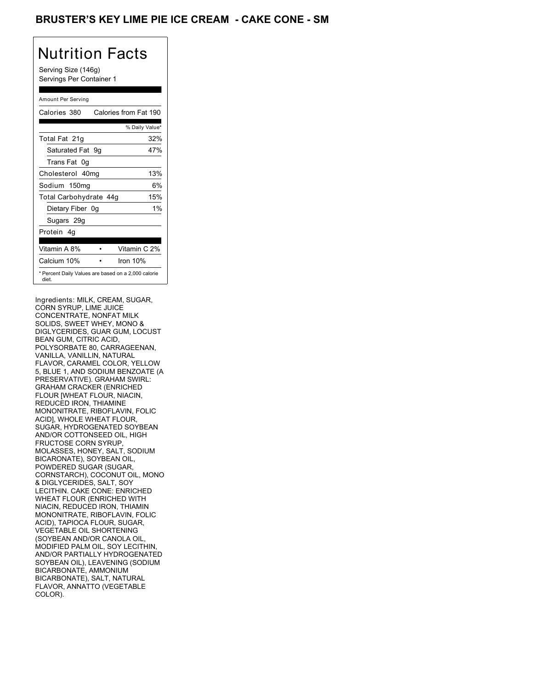## BRUSTER'S KEY LIME PIE ICE CREAM - CAKE CONE - SM

# Nutrition Facts

Serving Size (146g) Servings Per Container 1

#### Amount Per Serving

| Calories 380                                                 | Calories from Fat 190 |       |
|--------------------------------------------------------------|-----------------------|-------|
|                                                              | % Daily Value*        |       |
| Total Fat 21g                                                |                       | 32%   |
| Saturated Fat 9g                                             |                       | 47%   |
| Trans Fat 0q                                                 |                       |       |
| Cholesterol 40mg                                             |                       | 13%   |
| Sodium 150mg                                                 |                       | 6%    |
| Total Carbohydrate 44g                                       |                       | 15%   |
| Dietary Fiber 0g                                             |                       | $1\%$ |
| Sugars 29g                                                   |                       |       |
| Protein 4q                                                   |                       |       |
| Vitamin A 8%                                                 | Vitamin C 2%          |       |
| Calcium 10%                                                  | Iron 10%              |       |
| * Percent Daily Values are based on a 2,000 calorie<br>diet. |                       |       |

Ingredients: MILK, CREAM, SUGAR, CORN SYRUP, LIME JUICE CONCENTRATE, NONFAT MILK SOLIDS, SWEET WHEY, MONO & DIGLYCERIDES, GUAR GUM, LOCUST BEAN GUM, CITRIC ACID, POLYSORBATE 80, CARRAGEENAN, VANILLA, VANILLIN, NATURAL FLAVOR, CARAMEL COLOR, YELLOW 5, BLUE 1, AND SODIUM BENZOATE (A PRESERVATIVE). GRAHAM SWIRL: GRAHAM CRACKER (ENRICHED FLOUR [WHEAT FLOUR, NIACIN, REDUCED IRON, THIAMINE MONONITRATE, RIBOFLAVIN, FOLIC ACID], WHOLE WHEAT FLOUR, SUGAR, HYDROGENATED SOYBEAN AND/OR COTTONSEED OIL, HIGH FRUCTOSE CORN SYRUP, MOLASSES, HONEY, SALT, SODIUM BICARONATE), SOYBEAN OIL, POWDERED SUGAR (SUGAR, CORNSTARCH), COCONUT OIL, MONO & DIGLYCERIDES, SALT, SOY LECITHIN. CAKE CONE: ENRICHED WHEAT FLOUR (ENRICHED WITH NIACIN, REDUCED IRON, THIAMIN MONONITRATE, RIBOFLAVIN, FOLIC ACID), TAPIOCA FLOUR, SUGAR, VEGETABLE OIL SHORTENING (SOYBEAN AND/OR CANOLA OIL, MODIFIED PALM OIL, SOY LECITHIN, AND/OR PARTIALLY HYDROGENATED SOYBEAN OIL), LEAVENING (SODIUM BICARBONATE, AMMONIUM BICARBONATE), SALT, NATURAL FLAVOR, ANNATTO (VEGETABLE COLOR).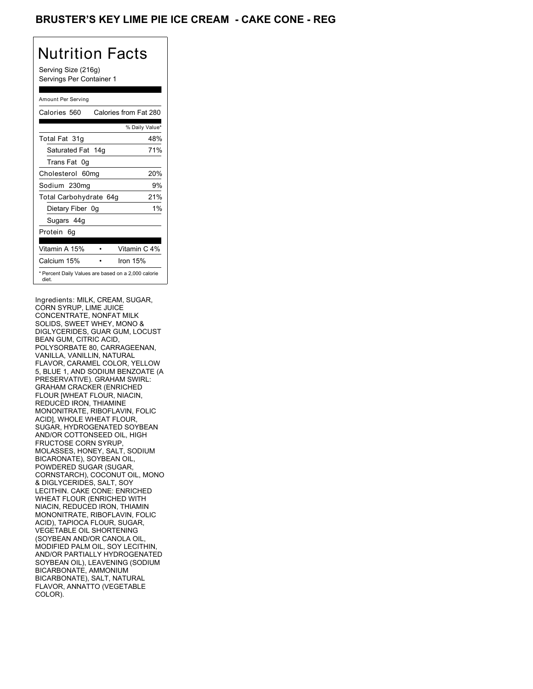## BRUSTER'S KEY LIME PIE ICE CREAM **- CAKE CONE - REG**

# Nutrition Facts

Serving Size (216g) Servings Per Container 1

#### Amount Per Serving

| Calories 560                                                 | Calories from Fat 280 |
|--------------------------------------------------------------|-----------------------|
|                                                              | % Daily Value*        |
| Total Fat 31g                                                | 48%                   |
| Saturated Fat 14g                                            | 71%                   |
| Trans Fat 0q                                                 |                       |
| Cholesterol 60mg                                             | 20%                   |
| Sodium 230mg                                                 | 9%                    |
| Total Carbohydrate 64g                                       | 21%                   |
| Dietary Fiber 0g                                             | $1\%$                 |
| Sugars 44g                                                   |                       |
| Protein 6q                                                   |                       |
| Vitamin A 15%                                                | Vitamin C 4%          |
| Calcium 15%                                                  | Iron $15%$            |
| * Percent Daily Values are based on a 2,000 calorie<br>diet. |                       |

Ingredients: MILK, CREAM, SUGAR, CORN SYRUP, LIME JUICE CONCENTRATE, NONFAT MILK SOLIDS, SWEET WHEY, MONO & DIGLYCERIDES, GUAR GUM, LOCUST BEAN GUM, CITRIC ACID, POLYSORBATE 80, CARRAGEENAN, VANILLA, VANILLIN, NATURAL FLAVOR, CARAMEL COLOR, YELLOW 5, BLUE 1, AND SODIUM BENZOATE (A PRESERVATIVE). GRAHAM SWIRL: GRAHAM CRACKER (ENRICHED FLOUR [WHEAT FLOUR, NIACIN, REDUCED IRON, THIAMINE MONONITRATE, RIBOFLAVIN, FOLIC ACID], WHOLE WHEAT FLOUR, SUGAR, HYDROGENATED SOYBEAN AND/OR COTTONSEED OIL, HIGH FRUCTOSE CORN SYRUP, MOLASSES, HONEY, SALT, SODIUM BICARONATE), SOYBEAN OIL, POWDERED SUGAR (SUGAR, CORNSTARCH), COCONUT OIL, MONO & DIGLYCERIDES, SALT, SOY LECITHIN. CAKE CONE: ENRICHED WHEAT FLOUR (ENRICHED WITH NIACIN, REDUCED IRON, THIAMIN MONONITRATE, RIBOFLAVIN, FOLIC ACID), TAPIOCA FLOUR, SUGAR, VEGETABLE OIL SHORTENING (SOYBEAN AND/OR CANOLA OIL, MODIFIED PALM OIL, SOY LECITHIN, AND/OR PARTIALLY HYDROGENATED SOYBEAN OIL), LEAVENING (SODIUM BICARBONATE, AMMONIUM BICARBONATE), SALT, NATURAL FLAVOR, ANNATTO (VEGETABLE COLOR).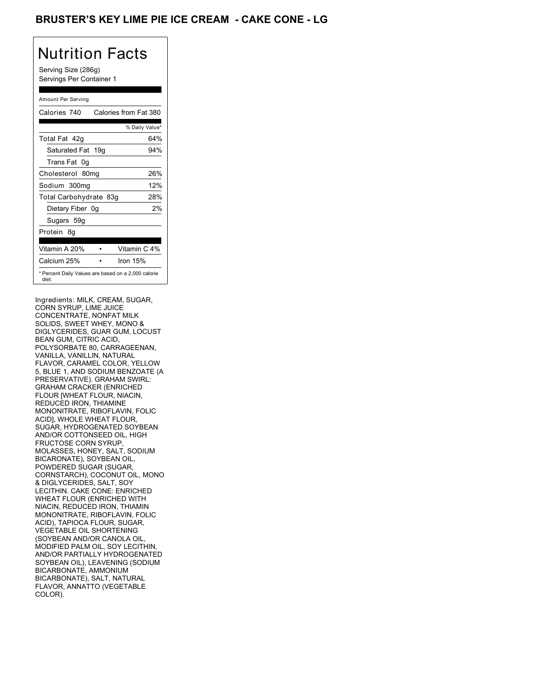## BRUSTER'S KEY LIME PIE ICE CREAM - CAKE CONE - LG

## Nutrition Facts

Serving Size (286g) Servings Per Container 1

#### Amount Per Serving

| Calories 740           | Calories from Fat 380                               |
|------------------------|-----------------------------------------------------|
|                        | % Daily Value*                                      |
| Total Fat 42q          | 64%                                                 |
| Saturated Fat 19g      | 94%                                                 |
| Trans Fat 0q           |                                                     |
| Cholesterol 80mg       | 26%                                                 |
| Sodium 300mg           | 12%                                                 |
| Total Carbohydrate 83g | 28%                                                 |
| Dietary Fiber 0g       | 2%                                                  |
| Sugars 59g             |                                                     |
| Protein 8q             |                                                     |
| Vitamin A 20%          | Vitamin C 4%                                        |
| Calcium 25%            | Iron 15%                                            |
| diet.                  | * Percent Daily Values are based on a 2,000 calorie |

Ingredients: MILK, CREAM, SUGAR, CORN SYRUP, LIME JUICE CONCENTRATE, NONFAT MILK SOLIDS, SWEET WHEY, MONO & DIGLYCERIDES, GUAR GUM, LOCUST BEAN GUM, CITRIC ACID, POLYSORBATE 80, CARRAGEENAN, VANILLA, VANILLIN, NATURAL FLAVOR, CARAMEL COLOR, YELLOW 5, BLUE 1, AND SODIUM BENZOATE (A PRESERVATIVE). GRAHAM SWIRL: GRAHAM CRACKER (ENRICHED FLOUR [WHEAT FLOUR, NIACIN, REDUCED IRON, THIAMINE MONONITRATE, RIBOFLAVIN, FOLIC ACID], WHOLE WHEAT FLOUR, SUGAR, HYDROGENATED SOYBEAN AND/OR COTTONSEED OIL, HIGH FRUCTOSE CORN SYRUP, MOLASSES, HONEY, SALT, SODIUM BICARONATE), SOYBEAN OIL, POWDERED SUGAR (SUGAR, CORNSTARCH), COCONUT OIL, MONO & DIGLYCERIDES, SALT, SOY LECITHIN. CAKE CONE: ENRICHED WHEAT FLOUR (ENRICHED WITH NIACIN, REDUCED IRON, THIAMIN MONONITRATE, RIBOFLAVIN, FOLIC ACID), TAPIOCA FLOUR, SUGAR, VEGETABLE OIL SHORTENING (SOYBEAN AND/OR CANOLA OIL, MODIFIED PALM OIL, SOY LECITHIN, AND/OR PARTIALLY HYDROGENATED SOYBEAN OIL), LEAVENING (SODIUM BICARBONATE, AMMONIUM BICARBONATE), SALT, NATURAL FLAVOR, ANNATTO (VEGETABLE COLOR).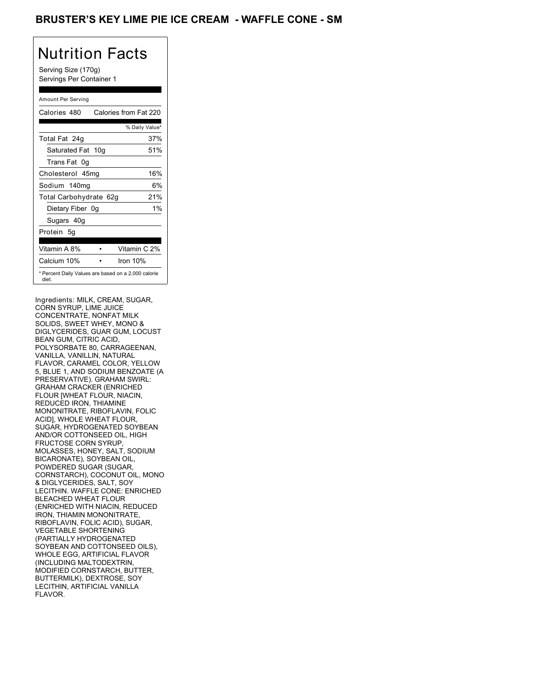## BRUSTER'S KEY LIME PIE ICE CREAM - WAFFLE CONE - SM

# Nutrition Facts

Serving Size (170g) Servings Per Container 1

#### Amount Per Serving

| Calories 480                                                 | Calories from Fat 220 |
|--------------------------------------------------------------|-----------------------|
|                                                              | % Daily Value*        |
| Total Fat 24g                                                | 37%                   |
| Saturated Fat 10g                                            | 51%                   |
| Trans Fat 0q                                                 |                       |
| Cholesterol 45mg                                             | 16%                   |
| Sodium 140mg                                                 | 6%                    |
| Total Carbohydrate 62g                                       | 21%                   |
| Dietary Fiber 0g                                             | $1\%$                 |
| Sugars 40g                                                   |                       |
| Protein 5q                                                   |                       |
| Vitamin A 8%                                                 | Vitamin C 2%          |
| Calcium 10%                                                  | Iron 10%              |
| * Percent Daily Values are based on a 2,000 calorie<br>diet. |                       |

Ingredients: MILK, CREAM, SUGAR, CORN SYRUP, LIME JUICE CONCENTRATE, NONFAT MILK SOLIDS, SWEET WHEY, MONO & DIGLYCERIDES, GUAR GUM, LOCUST BEAN GUM, CITRIC ACID, POLYSORBATE 80, CARRAGEENAN, VANILLA, VANILLIN, NATURAL FLAVOR, CARAMEL COLOR, YELLOW 5, BLUE 1, AND SODIUM BENZOATE (A PRESERVATIVE). GRAHAM SWIRL: GRAHAM CRACKER (ENRICHED FLOUR [WHEAT FLOUR, NIACIN, REDUCED IRON, THIAMINE MONONITRATE, RIBOFLAVIN, FOLIC ACID], WHOLE WHEAT FLOUR, SUGAR, HYDROGENATED SOYBEAN AND/OR COTTONSEED OIL, HIGH FRUCTOSE CORN SYRUP, MOLASSES, HONEY, SALT, SODIUM BICARONATE), SOYBEAN OIL, POWDERED SUGAR (SUGAR, CORNSTARCH), COCONUT OIL, MONO & DIGLYCERIDES, SALT, SOY LECITHIN. WAFFLE CONE: ENRICHED BLEACHED WHEAT FLOUR (ENRICHED WITH NIACIN, REDUCED IRON, THIAMIN MONONITRATE, RIBOFLAVIN, FOLIC ACID), SUGAR, VEGETABLE SHORTENING (PARTIALLY HYDROGENATED SOYBEAN AND COTTONSEED OILS), WHOLE EGG, ARTIFICIAL FLAVOR (INCLUDING MALTODEXTRIN, MODIFIED CORNSTARCH, BUTTER, BUTTERMILK), DEXTROSE, SOY LECITHIN, ARTIFICIAL VANILLA FLAVOR.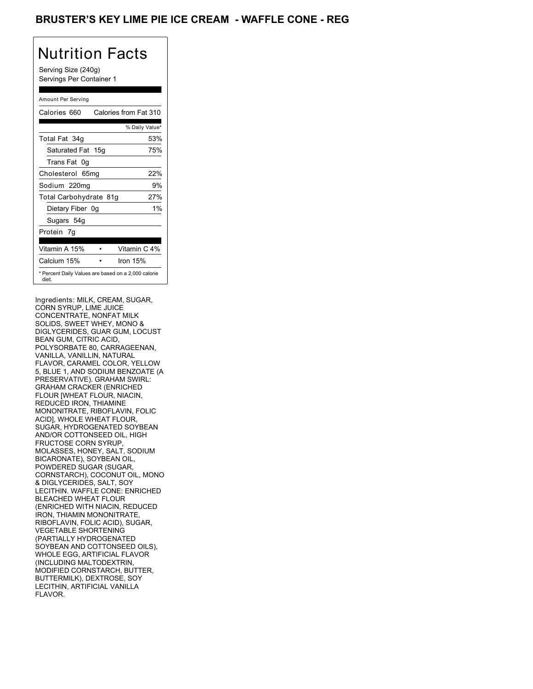## BRUSTER'S KEY LIME PIE ICE CREAM - WAFFLE CONE - REG

# Nutrition Facts

Serving Size (240g) Servings Per Container 1

#### Amount Per Serving

| Calories 660           | Calories from Fat 310                               |
|------------------------|-----------------------------------------------------|
|                        | % Daily Value*                                      |
| Total Fat 34g          | 53%                                                 |
| Saturated Fat 15g      | 75%                                                 |
| Trans Fat 0q           |                                                     |
| Cholesterol 65mg       | 22%                                                 |
| Sodium 220mg           | 9%                                                  |
| Total Carbohydrate 81g | 27%                                                 |
| Dietary Fiber 0g       | $1\%$                                               |
| Sugars 54g             |                                                     |
| Protein 7q             |                                                     |
| Vitamin A 15%          | Vitamin C 4%                                        |
| Calcium 15%            | Iron 15%                                            |
| diet.                  | * Percent Daily Values are based on a 2,000 calorie |

Ingredients: MILK, CREAM, SUGAR, CORN SYRUP, LIME JUICE CONCENTRATE, NONFAT MILK SOLIDS, SWEET WHEY, MONO & DIGLYCERIDES, GUAR GUM, LOCUST BEAN GUM, CITRIC ACID, POLYSORBATE 80, CARRAGEENAN, VANILLA, VANILLIN, NATURAL FLAVOR, CARAMEL COLOR, YELLOW 5, BLUE 1, AND SODIUM BENZOATE (A PRESERVATIVE). GRAHAM SWIRL: GRAHAM CRACKER (ENRICHED FLOUR [WHEAT FLOUR, NIACIN, REDUCED IRON, THIAMINE MONONITRATE, RIBOFLAVIN, FOLIC ACID], WHOLE WHEAT FLOUR, SUGAR, HYDROGENATED SOYBEAN AND/OR COTTONSEED OIL, HIGH FRUCTOSE CORN SYRUP, MOLASSES, HONEY, SALT, SODIUM BICARONATE), SOYBEAN OIL, POWDERED SUGAR (SUGAR, CORNSTARCH), COCONUT OIL, MONO & DIGLYCERIDES, SALT, SOY LECITHIN. WAFFLE CONE: ENRICHED BLEACHED WHEAT FLOUR (ENRICHED WITH NIACIN, REDUCED IRON, THIAMIN MONONITRATE, RIBOFLAVIN, FOLIC ACID), SUGAR, VEGETABLE SHORTENING (PARTIALLY HYDROGENATED SOYBEAN AND COTTONSEED OILS), WHOLE EGG, ARTIFICIAL FLAVOR (INCLUDING MALTODEXTRIN, MODIFIED CORNSTARCH, BUTTER, BUTTERMILK), DEXTROSE, SOY LECITHIN, ARTIFICIAL VANILLA FLAVOR.